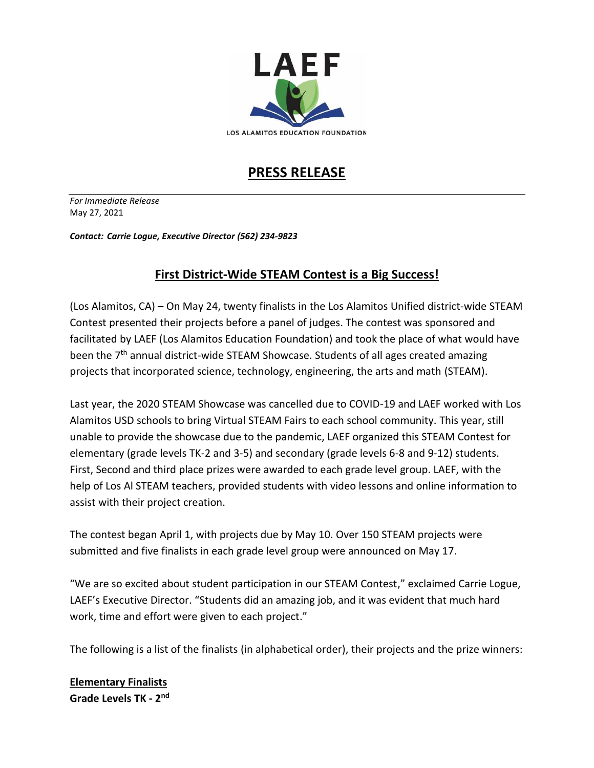

# **PRESS RELEASE**

*For Immediate Release* May 27, 2021

*Contact: Carrie Logue, Executive Director (562) 234-9823*

## **First District-Wide STEAM Contest is a Big Success!**

(Los Alamitos, CA) – On May 24, twenty finalists in the Los Alamitos Unified district-wide STEAM Contest presented their projects before a panel of judges. The contest was sponsored and facilitated by LAEF (Los Alamitos Education Foundation) and took the place of what would have been the 7<sup>th</sup> annual district-wide STEAM Showcase. Students of all ages created amazing projects that incorporated science, technology, engineering, the arts and math (STEAM).

Last year, the 2020 STEAM Showcase was cancelled due to COVID-19 and LAEF worked with Los Alamitos USD schools to bring Virtual STEAM Fairs to each school community. This year, still unable to provide the showcase due to the pandemic, LAEF organized this STEAM Contest for elementary (grade levels TK-2 and 3-5) and secondary (grade levels 6-8 and 9-12) students. First, Second and third place prizes were awarded to each grade level group. LAEF, with the help of Los Al STEAM teachers, provided students with video lessons and online information to assist with their project creation.

The contest began April 1, with projects due by May 10. Over 150 STEAM projects were submitted and five finalists in each grade level group were announced on May 17.

"We are so excited about student participation in our STEAM Contest," exclaimed Carrie Logue, LAEF's Executive Director. "Students did an amazing job, and it was evident that much hard work, time and effort were given to each project."

The following is a list of the finalists (in alphabetical order), their projects and the prize winners:

**Elementary Finalists Grade Levels TK - 2 nd**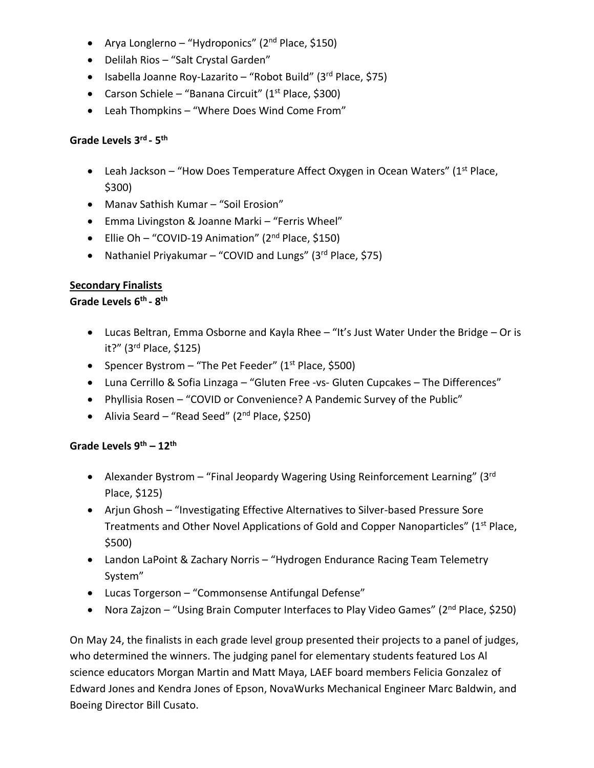- Arya Longlerno "Hydroponics" (2<sup>nd</sup> Place, \$150)
- Delilah Rios "Salt Crystal Garden"
- Isabella Joanne Roy-Lazarito "Robot Build" (3rd Place, \$75)
- Carson Schiele "Banana Circuit" (1<sup>st</sup> Place, \$300)
- Leah Thompkins "Where Does Wind Come From"

## **Grade Levels 3 rd - 5 th**

- Leah Jackson "How Does Temperature Affect Oxygen in Ocean Waters" (1<sup>st</sup> Place, \$300)
- Manav Sathish Kumar "Soil Erosion"
- Emma Livingston & Joanne Marki "Ferris Wheel"
- Ellie Oh "COVID-19 Animation" (2<sup>nd</sup> Place, \$150)
- Nathaniel Priyakumar "COVID and Lungs" (3rd Place, \$75)

### **Secondary Finalists**

**Grade Levels 6th - 8 th**

- Lucas Beltran, Emma Osborne and Kayla Rhee "It's Just Water Under the Bridge Or is it?" (3 rd Place, \$125)
- Spencer Bystrom "The Pet Feeder" (1<sup>st</sup> Place, \$500)
- Luna Cerrillo & Sofia Linzaga "Gluten Free -vs- Gluten Cupcakes The Differences"
- Phyllisia Rosen "COVID or Convenience? A Pandemic Survey of the Public"
- Alivia Seard "Read Seed" (2<sup>nd</sup> Place, \$250)

### **Grade Levels 9th – 12th**

- Alexander Bystrom "Final Jeopardy Wagering Using Reinforcement Learning" (3<sup>rd</sup> Place, \$125)
- Arjun Ghosh "Investigating Effective Alternatives to Silver-based Pressure Sore Treatments and Other Novel Applications of Gold and Copper Nanoparticles" (1<sup>st</sup> Place, \$500)
- Landon LaPoint & Zachary Norris "Hydrogen Endurance Racing Team Telemetry System"
- Lucas Torgerson "Commonsense Antifungal Defense"
- Nora Zajzon "Using Brain Computer Interfaces to Play Video Games" (2<sup>nd</sup> Place, \$250)

On May 24, the finalists in each grade level group presented their projects to a panel of judges, who determined the winners. The judging panel for elementary students featured Los Al science educators Morgan Martin and Matt Maya, LAEF board members Felicia Gonzalez of Edward Jones and Kendra Jones of Epson, NovaWurks Mechanical Engineer Marc Baldwin, and Boeing Director Bill Cusato.